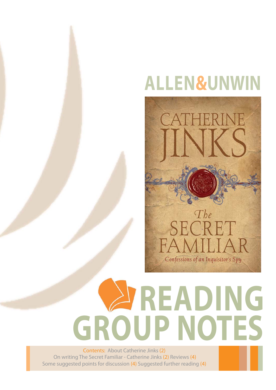## **ALLEN&UNWIN**



# **READING GROUP NOTES**

Contents: About Catherine Jinks (2) On writing The Secret Familiar - Catherine Jinks (2) Reviews (4) Some suggested points for discussion (4) Suggested further reading (4)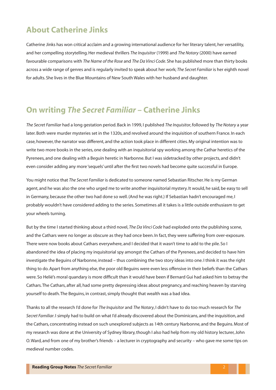### **About Catherine Jinks**

Catherine Jinks has won critical acclaim and a growing international audience for her literary talent, her versatility, and her compelling storytelling. Her medieval thrillers *The Inquisitor* (1999) and *The Notary* (2000) have earned favourable comparisons with *The Name of the Rose* and *The Da Vinci Code*. She has published more than thirty books across a wide range of genres and is regularly invited to speak about her work; *The Secret Familiar* is her eighth novel for adults. She lives in the Blue Mountains of New South Wales with her husband and daughter.

#### **On writing** *The Secret Familiar* **– Catherine Jinks**

*The Secret Familiar* had a long gestation period. Back in 1999, I published *The Inquisitor*, followed by *The Notary* a year later. Both were murder mysteries set in the 1320s, and revolved around the inquisition of southern France. In each case, however, the narrator was different, and the action took place in different cities. My original intention was to write two more books in the series, one dealing with an inquisitorial spy working among the Cathar heretics of the Pyrenees, and one dealing with a Beguin heretic in Narbonne. But I was sidetracked by other projects, and didn't even consider adding any more 'sequels' until after the first two novels had become quite successful in Europe.

You might notice that *The Secret Familiar* is dedicated to someone named Sebastian Ritscher. He is my German agent, and he was also the one who urged me to write another inquisitorial mystery. It would, he said, be easy to sell in Germany, because the other two had done so well. (And he was right.) If Sebastian hadn't encouraged me, I probably wouldn't have considered adding to the series. Sometimes all it takes is a little outside enthusiasm to get your wheels turning.

But by the time I started thinking about a third novel, *The Da Vinci Code* had exploded onto the publishing scene, and the Cathars were no longer as obscure as they had once been. In fact, they were suffering from over-exposure. There were now books about Cathars everywhere, and I decided that it wasn't time to add to the pile. So I abandoned the idea of placing my inquisitorial spy amongst the Cathars of the Pyrenees, and decided to have him investigate the Beguins of Narbonne, instead – thus combining the two story ideas into one. I think it was the right thing to do. Apart from anything else, the poor old Beguins were even less offensive in their beliefs than the Cathars were. So Helié's moral quandary is more difficult than it would have been if Bernard Gui had asked him to betray the Cathars. The Cathars, after all, had some pretty depressing ideas about pregnancy, and reaching heaven by starving yourself to death. The Beguins, in contrast, simply thought that wealth was a bad idea.

Thanks to all the research I'd done for *The Inquisitor* and *The Notary*, I didn't have to do too much research for *The Secret Familiar*. I simply had to build on what I'd already discovered about the Dominicans, and the inquisition, and the Cathars, concentrating instead on such unexplored subjects as 14th century Narbonne, and the Beguins. Most of my research was done at the University of Sydney library, though I also had help from my old history lecturer, John O. Ward, and from one of my brother's friends – a lecturer in cryptography and security – who gave me some tips on medieval number codes.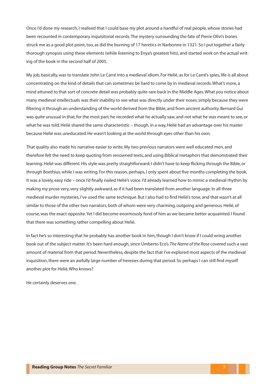Once I'd done my research, I realised that I could base my plot around a handful of real people, whose stories had been recounted in contemporary inquisitorial records. The mystery surrounding the fate of Pierre Olivi's bones struck me as a good plot point, too, as did the burning of 17 heretics in Narbonne in 1321. So I put together a fairly thorough synopsis using these elements (while listening to Enya's greatest hits), and started work on the actual writing of the book in the second half of 2005.

My job, basically, was to translate John Le Carré into a medieval idiom. For Helié, as for Le Carré's spies, life is all about concentrating on the kind of details that can sometimes be hard to come by in medieval records. What's more, a mind attuned to that sort of concrete detail was probably quite rare back in the Middle Ages. What you notice about many medieval intellectuals was their inability to see what was directly under their noses, simply because they were filtering it through an understanding of the world derived from the Bible, and from ancient authority. Bernard Gui was quite unusual in that, for the most part, he recorded what he actually saw, and not what he was meant to see, or what he was told. Helié shared the same characteristic – though, in a way, Helié had an advantage over his master because Helié was uneducated. He wasn't looking at the world through eyes other than his own.

That quality also made his narrative easier to write. My two previous narrators were well educated men, and therefore felt the need to keep quoting from renowned texts, and using Biblical metaphors that demonstrated their learning. Helié was different. His style was pretty straightforward; I didn't have to keep flicking through the Bible, or through Boethius, while I was writing. For this reason, perhaps, I only spent about five months completing the book. It was a lovely, easy ride – once I'd finally nailed Helié's voice. I'd already learned how to mimic a medieval rhythm by making my prose very, very slightly awkward, as if it had been translated from another language. In all three medieval murder mysteries, I've used the same technique. But I also had to find Helié's tone, and that wasn't at all similar to those of the other two narrators, both of whom were very charming, outgoing and generous. Helié, of course, was the exact opposite. Yet I did become enormously fond of him as we became better acquainted. I found that there was something rather compelling about Helié.

In fact he's so interesting that he probably has another book in him, though I don't know if I could wring another book out of the subject matter. It's been hard enough, since Umberto Eco's *The Name of the Rose* covered such a vast amount of material from that period. Nevertheless, despite the fact that I've explored most aspects of the medieval inquisition, there were an awfully large number of heresies during that period. So perhaps I can still find myself another plot for Helié. Who knows?

He certainly deserves one.